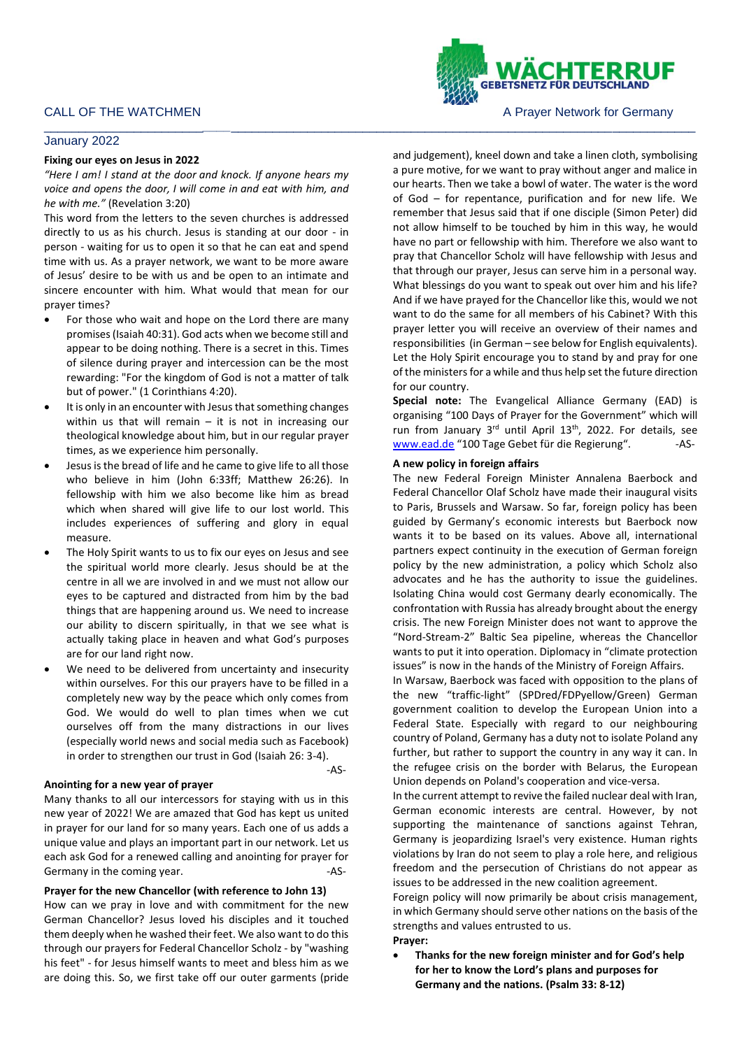# January 2022

# **Fixing our eyes on Jesus in 2022**

*"Here I am! I stand at the door and knock. If anyone hears my voice and opens the door, I will come in and eat with him, and he with me."* (Revelation 3:20)

This word from the letters to the seven churches is addressed directly to us as his church. Jesus is standing at our door - in person - waiting for us to open it so that he can eat and spend time with us. As a prayer network, we want to be more aware of Jesus' desire to be with us and be open to an intimate and sincere encounter with him. What would that mean for our prayer times?

- For those who wait and hope on the Lord there are many promises (Isaiah 40:31). God acts when we become still and appear to be doing nothing. There is a secret in this. Times of silence during prayer and intercession can be the most rewarding: "For the kingdom of God is not a matter of talk but of power." (1 Corinthians 4:20).
- It is only in an encounter with Jesus that something changes within us that will remain  $-$  it is not in increasing our theological knowledge about him, but in our regular prayer times, as we experience him personally.
- Jesus is the bread of life and he came to give life to all those who believe in him (John 6:33ff; Matthew 26:26). In fellowship with him we also become like him as bread which when shared will give life to our lost world. This includes experiences of suffering and glory in equal measure.
- The Holy Spirit wants to us to fix our eyes on Jesus and see the spiritual world more clearly. Jesus should be at the centre in all we are involved in and we must not allow our eyes to be captured and distracted from him by the bad things that are happening around us. We need to increase our ability to discern spiritually, in that we see what is actually taking place in heaven and what God's purposes are for our land right now.
- We need to be delivered from uncertainty and insecurity within ourselves. For this our prayers have to be filled in a completely new way by the peace which only comes from God. We would do well to plan times when we cut ourselves off from the many distractions in our lives (especially world news and social media such as Facebook) in order to strengthen our trust in God (Isaiah 26: 3-4).

#### **Anointing for a new year of prayer**

Many thanks to all our intercessors for staying with us in this new year of 2022! We are amazed that God has kept us united in prayer for our land for so many years. Each one of us adds a unique value and plays an important part in our network. Let us each ask God for a renewed calling and anointing for prayer for Germany in the coming year. The same state of the set of the set of the set of the set of the set of the set of the set of the set of the set of the set of the set of the set of the set of the set of the set of the set of

# **Prayer for the new Chancellor (with reference to John 13)**

How can we pray in love and with commitment for the new German Chancellor? Jesus loved his disciples and it touched them deeply when he washed their feet. We also want to do this through our prayers for Federal Chancellor Scholz - by "washing his feet" - for Jesus himself wants to meet and bless him as we are doing this. So, we first take off our outer garments (pride

and judgement), kneel down and take a linen cloth, symbolising a pure motive, for we want to pray without anger and malice in our hearts. Then we take a bowl of water. The water is the word of God – for repentance, purification and for new life. We remember that Jesus said that if one disciple (Simon Peter) did not allow himself to be touched by him in this way, he would have no part or fellowship with him. Therefore we also want to pray that Chancellor Scholz will have fellowship with Jesus and that through our prayer, Jesus can serve him in a personal way. What blessings do you want to speak out over him and his life? And if we have prayed for the Chancellor like this, would we not want to do the same for all members of his Cabinet? With this prayer letter you will receive an overview of their names and responsibilities (in German – see below for English equivalents). Let the Holy Spirit encourage you to stand by and pray for one of the ministers for a while and thus help set the future direction for our country.

**Special note:** The Evangelical Alliance Germany (EAD) is organising "100 Days of Prayer for the Government" which will run from January 3rd until April 13<sup>th</sup>, 2022. For details, see [www.ead.de](http://www.ead.de/) "100 Tage Gebet für die Regierung". - AS-

# **A new policy in foreign affairs**

\_\_\_\_\_\_\_\_\_\_\_\_\_\_\_\_\_\_\_\_\_\_\_*\_\_\_\_*\_\_\_\_\_\_\_\_\_\_\_\_\_\_\_\_\_\_\_\_\_\_\_\_\_\_\_\_\_\_\_\_\_\_\_\_\_\_\_\_\_\_\_\_\_\_\_\_\_\_\_\_\_\_\_\_\_\_\_\_\_\_\_\_\_\_\_

The new Federal Foreign Minister Annalena Baerbock and Federal Chancellor Olaf Scholz have made their inaugural visits to Paris, Brussels and Warsaw. So far, foreign policy has been guided by Germany's economic interests but Baerbock now wants it to be based on its values. Above all, international partners expect continuity in the execution of German foreign policy by the new administration, a policy which Scholz also advocates and he has the authority to issue the guidelines. Isolating China would cost Germany dearly economically. The confrontation with Russia has already brought about the energy crisis. The new Foreign Minister does not want to approve the "Nord-Stream-2" Baltic Sea pipeline, whereas the Chancellor wants to put it into operation. Diplomacy in "climate protection issues" is now in the hands of the Ministry of Foreign Affairs.

In Warsaw, Baerbock was faced with opposition to the plans of the new "traffic-light" (SPDred/FDPyellow/Green) German government coalition to develop the European Union into a Federal State. Especially with regard to our neighbouring country of Poland, Germany has a duty not to isolate Poland any further, but rather to support the country in any way it can. In the refugee crisis on the border with Belarus, the European Union depends on Poland's cooperation and vice-versa.

In the current attempt to revive the failed nuclear deal with Iran, German economic interests are central. However, by not supporting the maintenance of sanctions against Tehran, Germany is jeopardizing Israel's very existence. Human rights violations by Iran do not seem to play a role here, and religious freedom and the persecution of Christians do not appear as issues to be addressed in the new coalition agreement.

Foreign policy will now primarily be about crisis management, in which Germany should serve other nations on the basis of the strengths and values entrusted to us.

# **Prayer:**

-AS-

• **Thanks for the new foreign minister and for God's help for her to know the Lord's plans and purposes for Germany and the nations. (Psalm 33: 8-12)**



CALL OF THE WATCHMEN **A PRAYER A PRAYER A PRAYER OF STATE OF THE WATCHMEN** A PRAYER A PRAYER MOTOR OF THE STATE OF THE STATE OF THE STATE OF THE STATE OF THE STATE OF THE STATE OF THE STATE OF THE STATE OF THE STATE OF THE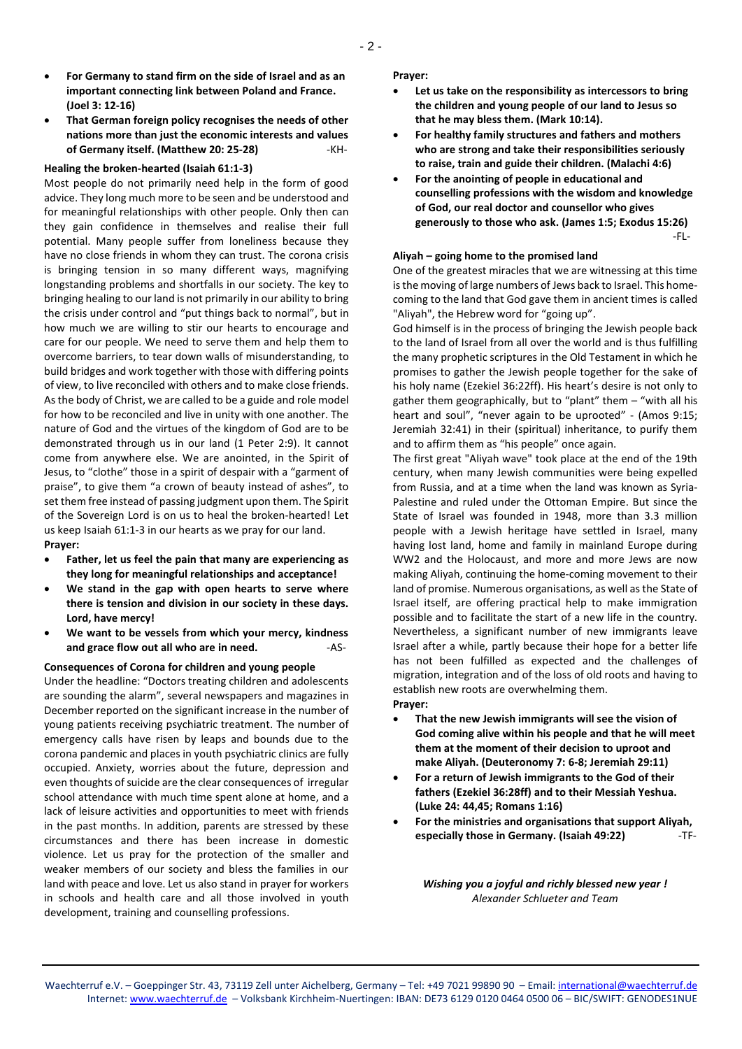- **For Germany to stand firm on the side of Israel and as an important connecting link between Poland and France. (Joel 3: 12-16)**
- **That German foreign policy recognises the needs of other nations more than just the economic interests and values of Germany itself. (Matthew 20: 25-28)** -KH-

# **Healing the broken-hearted (Isaiah 61:1-3)**

Most people do not primarily need help in the form of good advice. They long much more to be seen and be understood and for meaningful relationships with other people. Only then can they gain confidence in themselves and realise their full potential. Many people suffer from loneliness because they have no close friends in whom they can trust. The corona crisis is bringing tension in so many different ways, magnifying longstanding problems and shortfalls in our society. The key to bringing healing to our land is not primarily in our ability to bring the crisis under control and "put things back to normal", but in how much we are willing to stir our hearts to encourage and care for our people. We need to serve them and help them to overcome barriers, to tear down walls of misunderstanding, to build bridges and work together with those with differing points of view, to live reconciled with others and to make close friends. As the body of Christ, we are called to be a guide and role model for how to be reconciled and live in unity with one another. The nature of God and the virtues of the kingdom of God are to be demonstrated through us in our land (1 Peter 2:9). It cannot come from anywhere else. We are anointed, in the Spirit of Jesus, to "clothe" those in a spirit of despair with a "garment of praise", to give them "a crown of beauty instead of ashes", to set them free instead of passing judgment upon them. The Spirit of the Sovereign Lord is on us to heal the broken-hearted! Let us keep Isaiah 61:1-3 in our hearts as we pray for our land. **Prayer:**

- **Father, let us feel the pain that many are experiencing as they long for meaningful relationships and acceptance!**
- **We stand in the gap with open hearts to serve where there is tension and division in our society in these days. Lord, have mercy!**
- **We want to be vessels from which your mercy, kindness**  and grace flow out all who are in need. **AS-**

#### **Consequences of Corona for children and young people**

Under the headline: "Doctors treating children and adolescents are sounding the alarm", several newspapers and magazines in December reported on the significant increase in the number of young patients receiving psychiatric treatment. The number of emergency calls have risen by leaps and bounds due to the corona pandemic and places in youth psychiatric clinics are fully occupied. Anxiety, worries about the future, depression and even thoughts of suicide are the clear consequences of irregular school attendance with much time spent alone at home, and a lack of leisure activities and opportunities to meet with friends in the past months. In addition, parents are stressed by these circumstances and there has been increase in domestic violence. Let us pray for the protection of the smaller and weaker members of our society and bless the families in our land with peace and love. Let us also stand in prayer for workers in schools and health care and all those involved in youth development, training and counselling professions.

**Prayer:**

- **Let us take on the responsibility as intercessors to bring the children and young people of our land to Jesus so that he may bless them. (Mark 10:14).**
- **For healthy family structures and fathers and mothers who are strong and take their responsibilities seriously to raise, train and guide their children. (Malachi 4:6)**
- **For the anointing of people in educational and counselling professions with the wisdom and knowledge of God, our real doctor and counsellor who gives generously to those who ask. (James 1:5; Exodus 15:26)** -FL-

### **Aliyah – going home to the promised land**

One of the greatest miracles that we are witnessing at this time is the moving of large numbers of Jews back to Israel. This homecoming to the land that God gave them in ancient times is called "Aliyah", the Hebrew word for "going up".

God himself is in the process of bringing the Jewish people back to the land of Israel from all over the world and is thus fulfilling the many prophetic scriptures in the Old Testament in which he promises to gather the Jewish people together for the sake of his holy name (Ezekiel 36:22ff). His heart's desire is not only to gather them geographically, but to "plant" them – "with all his heart and soul", "never again to be uprooted" - (Amos 9:15; Jeremiah 32:41) in their (spiritual) inheritance, to purify them and to affirm them as "his people" once again.

The first great "Aliyah wave" took place at the end of the 19th century, when many Jewish communities were being expelled from Russia, and at a time when the land was known as Syria-Palestine and ruled under the Ottoman Empire. But since the State of Israel was founded in 1948, more than 3.3 million people with a Jewish heritage have settled in Israel, many having lost land, home and family in mainland Europe during WW2 and the Holocaust, and more and more Jews are now making Aliyah, continuing the home-coming movement to their land of promise. Numerous organisations, as well as the State of Israel itself, are offering practical help to make immigration possible and to facilitate the start of a new life in the country. Nevertheless, a significant number of new immigrants leave Israel after a while, partly because their hope for a better life has not been fulfilled as expected and the challenges of migration, integration and of the loss of old roots and having to establish new roots are overwhelming them. **Prayer:**

- **That the new Jewish immigrants will see the vision of God coming alive within his people and that he will meet them at the moment of their decision to uproot and make Aliyah. (Deuteronomy 7: 6-8; Jeremiah 29:11)**
- **For a return of Jewish immigrants to the God of their fathers (Ezekiel 36:28ff) and to their Messiah Yeshua. (Luke 24: 44,45; Romans 1:16)**
- **For the ministries and organisations that support Aliyah, especially those in Germany. (Isaiah 49:22)** -TF-

*Wishing you a joyful and richly blessed new year ! Alexander Schlueter and Team*